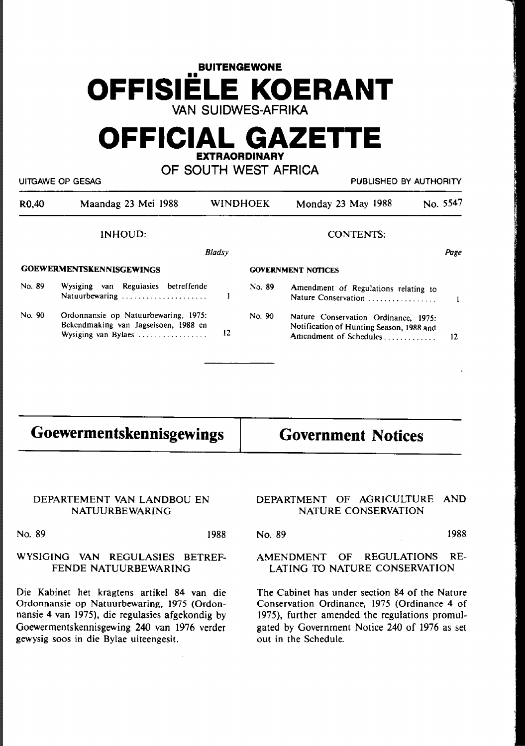## **BUITENGEWONE OFFISIELE KOERANT**  VAN SUIDWES~AFRIKA

## **OFFICIAL GAZETIE EXTRAORDINARY**

OF SOUTH WEST AFRICA

| UITGAWE OP GESAG   |                                                                                                     |    |                 |                                                                                                            | PUBLISHED BY AUTHORITY |  |
|--------------------|-----------------------------------------------------------------------------------------------------|----|-----------------|------------------------------------------------------------------------------------------------------------|------------------------|--|
| R <sub>0</sub> ,40 | Maandag 23 Mei 1988                                                                                 |    | <b>WINDHOEK</b> | Monday 23 May 1988                                                                                         | No. 5547               |  |
|                    | INHOUD:                                                                                             |    |                 | <b>CONTENTS:</b>                                                                                           |                        |  |
|                    | <b>Bladsy</b>                                                                                       |    |                 | Page                                                                                                       |                        |  |
|                    | <b>GOEWERMENTSKENNISGEWINGS</b>                                                                     |    |                 | <b>GOVERNMENT NOTICES</b>                                                                                  |                        |  |
| No. 89             | Wysiging van Regulasies betreffende<br>Natuurbewaring                                               |    | No. 89          | Amendment of Regulations relating to<br>Nature Conservation                                                |                        |  |
| No. 90             | Ordonnansie op Natuurbewaring, 1975:<br>Bekendmaking van Jagseisoen, 1988 en<br>Wysiging van Bylaes | 12 | No. 90          | Nature Conservation Ordinance, 1975:<br>Notification of Hunting Season, 1988 and<br>Amendment of Schedules | 12                     |  |
|                    |                                                                                                     |    |                 |                                                                                                            |                        |  |

| Goewermentskennisgewings | <b>Government Notices</b> |
|--------------------------|---------------------------|
|                          |                           |

#### DEPARTEMENT VAN LANDBOU EN NATUURBEWARING

# NATURE CONSERVATION

No. 89 1988

### WYSlGING VAN REGULASIES BETREF-FENDE NATUURBEWARING

Die Kabinet het kragtens artikel 84 van die Ordonnansie op Natuurbewaring, 1975 (Ordonnansie 4 van 1975), die regulasies afgekondig by Goewermentskennisgewing 240 van 1976 verder gewysig soos in die Bylae uiteengesit.

# DEPARTMENT OF AGRICULTURE AND

No. 89 1988

### AMENDMENT OF REGULATIONS RE-LATING TO NATURE CONSERVATION

The Cabinet has under section 84 of the Nature Conservation Ordinance, 1975 (Ordinance 4 of 1975), further amended the regulations promulgated by Government Notice 240 of 1976 as set out in the Schedule.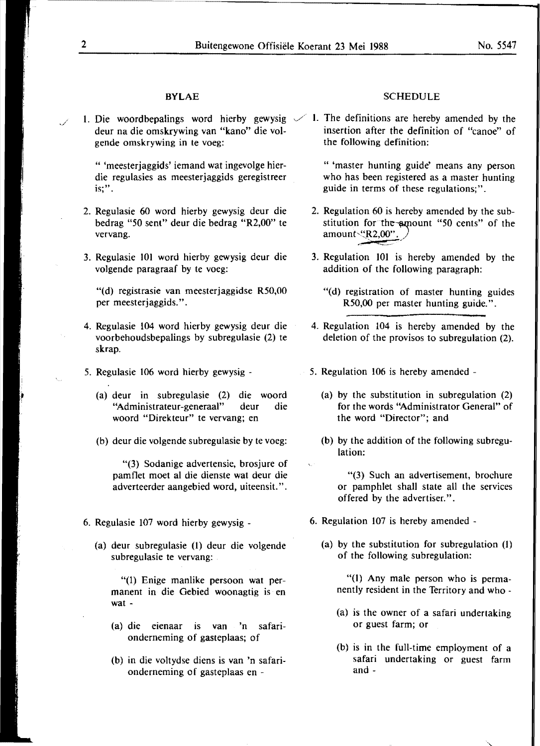1. Die woordbepalings word hierby gewysig  $\swarrow$  1. The definitions are hereby amended by the gende omskrywing in te voeg:

" 'meesterjaggids' iemand wat ingevolge hierdie regulasies as meesterjaggids geregistreer is;".

- 2. Regulasie 60 word hierby gewysig deur die bedrag "50 sent" deur die bedrag "R2,00" te vervang.
- 3. Regulasie 101 word hierby gewysig deur die volgende paragraaf by te voeg:

"(d) registrasie van meesterjaggidse R50,00 per meesterjaggids.".

- 4. Regulasie 104 word hierby gewysig deur die voorbehoudsbepalings by subregulasie (2) te skrap.
- *5.* Regulasie 106 word hierby gewysig
	- (a) deur in subregulasie (2) die woord "Administrateur-generaal" deur die woord "Direkteur" te vervang; en
	- (b) deur die volgende subregulasie by te voeg:

"(3) Sodanige advertensie, brosjure of pamflet moet al die dienste wat deur die adverteerder aangebied word, uiteensit.".

- 6. Regulasie 107 word hierby gewysig
	- (a) deur subregulasie (l) deur die volgende subregulasie te vervang:

"(l) Enige manlike persoon wat permanent in die Gebied woonagtig is en wat -

- (a) die eienaar is van 'n safarionderneming of gasteplaas; of
- (b) in die voltydse diens is van 'n safarionderneming of gasteplaas en -

#### **BYLAE** SCHEDULE

deur na die omskrywing van "kano" die vol-<br>
gende omskrywing in te voeg:<br>
the following definition:

" 'master hunting guide' means any person who has been registered as a master hunting guide in terms of these regulations;".

- 2. Regulation 60 is hereby amended by the substitution for the~amount "50 cents" of the amount <<<br/>R2,00" *i*
- 3. Regulation 101 is hereby amended by the addition of the following paragraph:
	- "(d) registration of master hunting guides R50,00 per master hunting guide.".
- 4. Regulation 104 is hereby amended by the deletion of the provisos to subregulation (2).
- *5.* Regulation 106 is hereby amended
	- (a) by the substitution in subregulation (2) for the words "Administrator General" of the word "Director"; and
	- (b) by the addition of the following subregulation:

"(3) Such an advertisement, brochure or pamphlet shall state all the services offered by the advertiser.".

- 6. Regulation 107 is hereby amended
	- (a) by the substitution for subregulation (I) of the following subregulation:

"(1) Any male person who is permanently resident in the Territory and who -

- (a) is the owner of a safari undertaking or guest farm; or
- (b) is in the full-time employment of a safari undertaking or guest farm and -

*J*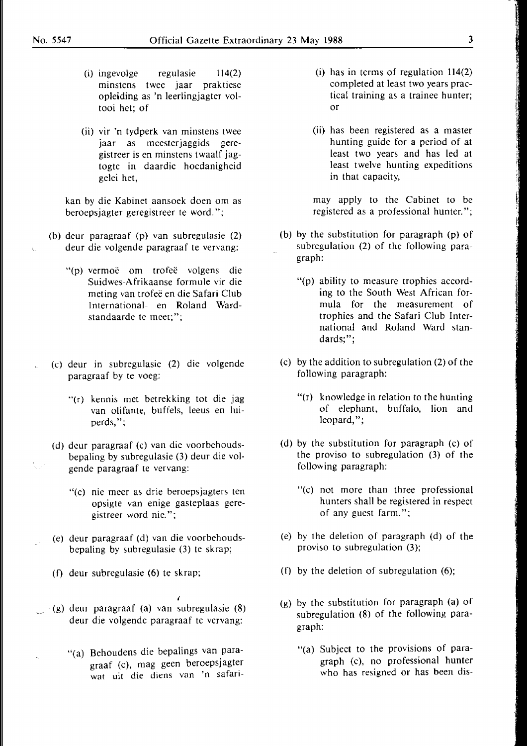- (i) ingevolge regulasie 114(2) minstens twee jaar praktiese opleiding as 'n leerlingjagter voltooi het; of
- (ii) vir 'n tydperk van minstens twee jaar as meesterjaggids geregistreer is en minstens twaalf jagtogte in daardie hoedanigheid gelei het,

kan by die Kabinet aansoek doen om as beroepsjagter geregistreer te word.";

- (b) deur paragraaf (p) van subregulasie (2) deur die volgende paragraaf te vervang:
	- "(p) vermoë om trofeë volgens die Suidwes-Afrikaanse formule vir die meting van trofee en die Safari Club International- en Roland Wardstandaarde te meet;";
- (c) deur in subregulasie (2) die volgende paragraaf by te voeg:
	- "(r) kennis met betrekking tot die jag van olifante, buffels, leeus en luiperds,";
	- (d) dcur paragraaf (c) van die voorbehoudsbepaling by subregulasie (3) deur die volgende paragraaf te vervang:
		- "(c) nie meer as drie beroepsjagters ten opsigte van enige gasteplaas geregistreer word nie.";
	- (e) deur paragraaf (d) van die voorbehoudsbepaling by subregulasie (3) te skrap;
	- (f) deur subregulasie (6) te skrap;
- (g) deur paragraaf (a) van subregulasie (8) deur die volgende paragraaf te vervang:
	- "(a) Behoudens die bepalings van paragraaf (c), mag geen beroepsjagter wat uit die diens van 'n safari-

*I* 

- (i) has in terms of regulation 114(2) completed at least two years practical training as a trainee hunter; or
- (ii) has been registered as a master hunting guide for a period of at least two years and has led at least twelve hunting expeditions in that capacity,

may apply to the Cabinet to be registered as a professional hunter.";

- (b) by the substitution for paragraph (p) of subregulation (2) of the following paragraph:
	- "(p) ability to measure trophies according to the South West African formula for the measurement of trophies and the Safari Club International and Roland Ward standards;";
- (c) by the addition to subregulation (2) of the following paragraph:
	- "(r) knowledge in relation to the hunting of elephant, buffalo, lion and leopard,";
- (d) by the substitution for paragraph (c) of the proviso to subregulation (3) of the following paragraph:
	- "(c) not more than three professional hunters shall be registered in respect of any guest farm.";
- (e) by the deletion of paragraph (d) of the proviso to subregulation (3);
- (f) by the deletion of subregulation  $(6)$ ;
- (g) by the substitution for paragraph (a) of subregulation (8) of the following paragraph:
	- "(a) Subject to the provisions of paragraph (c), no professional hunter who has resigned or has been dis-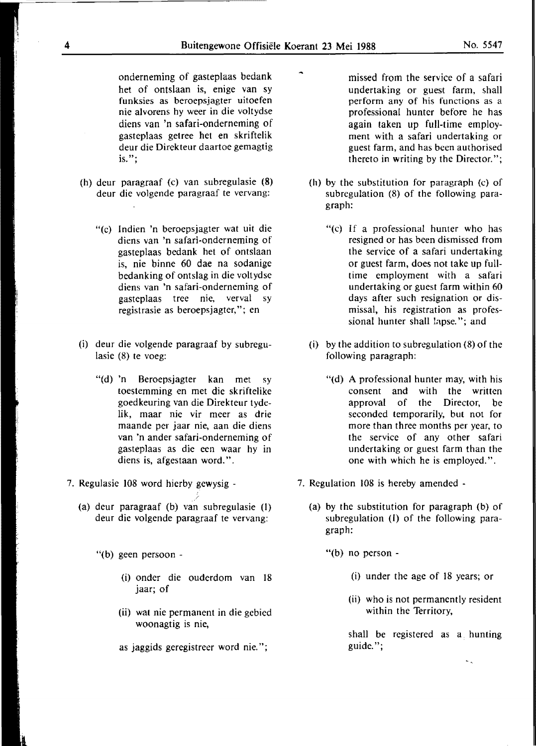onderneming of gasteplaas bedank het of ontslaan is, enige van sy funksies as beroepsjagter uitoefen nie alvorens hy weer in die voltydse diens van 'n safari-onderneming of gasteplaas getree het en skriftelik deur die Direkteur daartoe gemagtig is.";

- (h) deur paragraaf (c) van subregulasie (8) deur die volgende paragraaf te vervang:
	- "(c) Indien 'n beroepsjagter wat uit die diens van 'n safari-onderneming of gasteplaas bedank het of ontslaan is, nie binne 60 dae na sodanige bedanking of ontslag in die voltydse diens van 'n safari-onderneming of gasteplaas tree nie, verval sy registrasie as beroepsjagter,"; en
- (i) deur die volgende paragraaf by subregulasie (8) te voeg:
	- "(d) 'n Beroepsjagter kan met sy toestemming en met die skriftelike goedkeuring van die Direkteur tydelik, maar nie vir meer as drie maande per jaar nie, aan die diens van 'n ander safari-onderneming of gasteplaas as die een waar hy in diens is, afgestaan word.".
- 7. Regulasie 108 word hierby gewysig
	- (a) deur paragraaf (b) van subregulasie (I) deur die volgende paragraaf te vervang:
		- "(b) geen persoon
			- (i) onder die ouderdom van 18 jaar; of
			- (ii) wat nie permanent in die gebied woonagtig is nie,
			- as jaggids geregistreer word nie.";
- missed from the service of a safari undertaking or guest farm, shall perform any of his functions as a professional hunter before he has again taken up full-time employment with a safari undertaking or guest farm, and has been authorised thereto in writing by the Director.";
- (h) by the substitution for paragraph (c) of subregulation (8) of the following paragraph:
	- "(c) If a professional hunter who has resigned or has been dismissed from the service of a safari undertaking or guest farm, does not take up fulltime employment with a safari undertaking or guest farm within 60 days after such resignation or dismissal, his registration as professional hunter shall lapse."; and
- (i) by the addition to subregulation (8) of the following paragraph:
	- "(d) A professional hunter may, with his consent and with the written approval of the Director, be seconded temporarily, but not for more than three months per year, to the service of any other safari undertaking or guest farm than the one with which he is employed.".
- 7. Regulation 108 is hereby amended
	- (a) by the substitution for paragraph (b) of subregulation (I) of the following paragraph:

"(b) no person -

- (i) under the age of 18 years; or
- (ii) who is not permanently resident within the Territory,

shall be registered as a hunting guide.";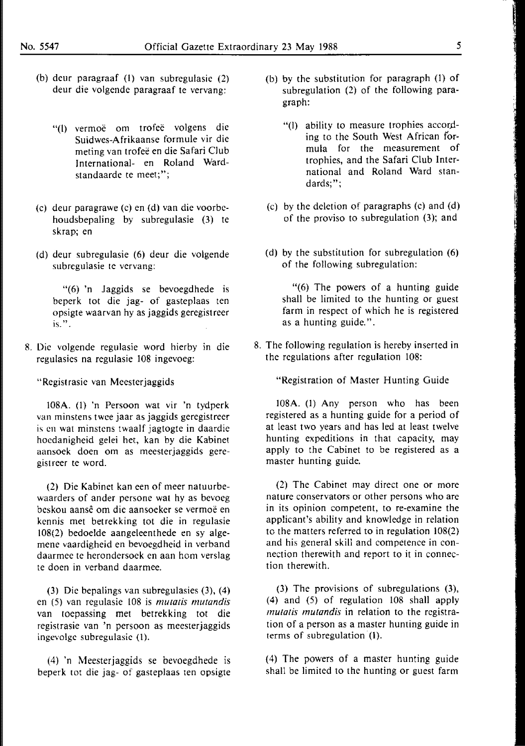- (b) deur paragraaf (I) van subregulasie (2) deur die volgende paragraaf te vervang:
	- "(l) vermoe om trofee volgens die Suidwes-Afrikaanse formule vir die meting van trofeë en die Safari Club International- en Roland Wardstandaarde te meet;";
- (c) deur paragrawe (c) en (d) van die voorbehoudsbepaling by subregulasie (3) te skrap; en
- (d) deur subregulasie (6) deur die volgende subrcgulasie te vervang:

"(6) 'n Jaggids se bevoegdhede is beperk tot die jag- of gasteplaas ten opsigte waarvan hy as jaggids geregistreer is.".

8. Die volgende regulasie word hierby in die regulasies na regulasie 108 ingevoeg:

"Registrasie van Meester jaggids

108A. (1) 'n Persoon wat vir 'n tydperk van minstens twee jaar as jaggids geregistreer is en wat minstens twaalf jagtogte in daardie hoedanigheid gelei het, kan by die Kabinet aansoek doen om as meesterjaggids geregistreer te word.

(2) Die Kabinet kan een of meer natuurbewaarders of ander persone wat hy as bevoeg beskou aanse om die aansoeker se vermoe en kennis met betrekking tot die in regulasie I 08(2) bedoelde aangeleenthede en sy algemene vaardigheid en bevoegdheid in verband daarmee te herondersoek en aan hom verslag te doen in verband daarmee.

(3) Die bepalings van subregulasies (3), (4) en (5) van regulasie 108 is *mutatis mutandis*  van toepassing met betrekking tot die registrasie van 'n persoon as meesterjaggids ingevolge subregulasie (1).

(4) 'n Meesterjaggids se bevoegdhede is beperk tot die jag- of gasteplaas ten opsigte

- (b) by the substitution for paragraph (1) of subregulation (2) of the following paragraph:
	- "(l) ability to measure trophies according to the South West African formula for the measurement of trophies, and the Safari Club International and Roland Ward standards;";
- (c) by the deletion of paragraphs (c) and (d) of the proviso to subregulation (3); and
- (d) by the substitution for subregulation (6) of the following subregulation:

"(6) The powers of a hunting guide shall be limited to the hunting or guest farm in respect of which he is registered as a hunting guide.".

8. The following regulation is hereby inserted in the regulations after regulation 108:

"Registration of Master Hunting Guide

l08A. (1) Any person who has been registered as a hunting guide for a period of at least two years and has led at least twelve hunting expeditions in that capacity, may apply to the Cabinet to be registered as a master hunting guide.

(2) The Cabinet may direct one or more nature conservators or other persons who are in its opinion competent, to re-examine the applicant's ability and knowledge in relation to the matters referred to in regulation 108(2) and his general skill and competence in connection therewith and report to it in connection therewith.

(3) The provisions of subregulations (3), (4) and (5) of regulation 108 shall apply *mutatis mutandis* in relation to the registration of a person as a master hunting guide in terms of subregulation  $(1)$ .

(4) The powers of a master hunting guide shall be limited to the hunting or guest farm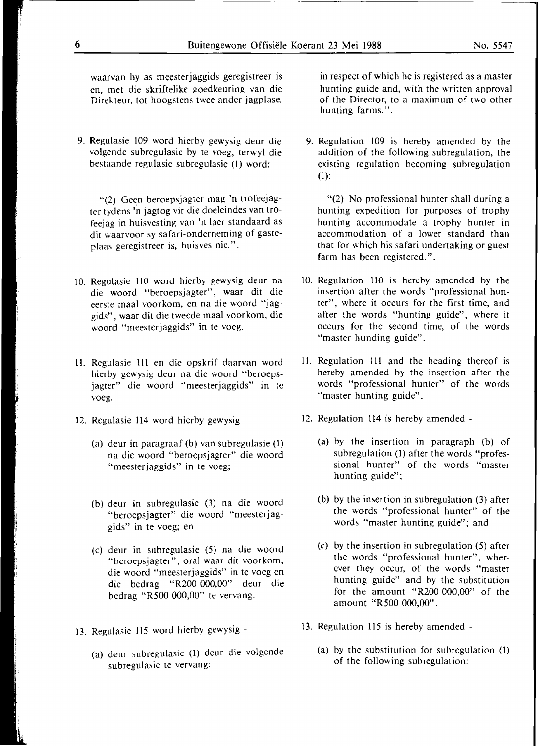waarvan hy as meesterjaggids geregistreer is en, met die skriftelike goedkeuring van die Direkteur, tot hoogstens twee ander jagplase.

9. Regulasie 109 word hierby gewysig deur die volgende subregulasie by te voeg, terwyl die bestaande regulasie subregulasie (1) word:

"(2) Geen beroepsjagter mag 'n trofeejagter tydens 'n jagtog vir die doeleindes van trofeejag in huisvesting van 'n laer standaard as dit waarvoor sy safari-onderneming of gasteplaas geregistreer is, huisves nie.".

- 10. Regulasie 110 word hierby gewysig deur na die woord "beroepsjagter", waar dit die eerste maal voorkom, en na die woord "jaggids", waar dil die tweede maal voorkom, die woord "meesterjaggids" in te voeg.
- 11. Regulasie 111 en die opskrif daarvan word hierby gewysig deur na die woord "beroepsjagter" die woord "meesterjaggids" in te voeg.
- 12. Regulasie 114 word hierby gewysig
	- (a) deur in paragraaf (b) van subregulasie (I) na die woord "beroepsjagter" die woord "meesterjaggids" in te voeg;
	- (b) deur in subregulasie (3) na die woord "beroepsjagter" die woord "meesterjaggids" in te voeg; en
	- (c) deur in subregulasie (5) na die woord "beroepsjagter", oral waar dit voorkom, die woord "meesterjaggids" in te voeg en die bedrag "R200 000,00" deur die bedrag "R500 000,00" te vervang.
- 13. Regulasie 115 word hierby gewysig
	- (a) deur subregulasie (1) deur die volgende subregulasie te vervang:

in respect of which he is registered as a master hunting guide and, with the written approval of the Director, to a maximum of two other hunting farms.".

9. Regulation 109 is hereby amended by the addition of the following subregulation, the existing regulation becoming subregulation (1):

"(2) No professional hunter shall during a hunting expedition for purposes of trophy hunting accommodate a trophy hunter in accommodation of a lower standard than that for which his safari undertaking or guest farm has been registered.".

- 10. Regulation 110 is hereby amended by the insertion after the words "professional hunter", where it occurs for the first time, and after the words "hunting guide", where it occurs for the second time, of the words "master hunding guide".
- 11. Regulation 111 and the heading thereof is hereby amended by the insertion after the words "professional hunter" of the words "master hunting guide".
- 12. Regulation 114 is hereby amended
	- (a) by the insertion in paragraph (b) of subregulation (I) after the words "professional hunter" of the words "master hunting guide";
	- (b) by the insertion in subregulation (3) after the words "professional hunter" of the words "master hunting guide"; and
	- (c) by the insertion in subregulation (5) after the words "professional hunter", wherever they occur, of the words "master hunting guide" and by the substitution for the amount "R200 000,00" of the amount "RS00 000,00".
- 13. Regulation 115 is hereby amended
	- (a) by the substitution for subregulation (]) of the following subregulation: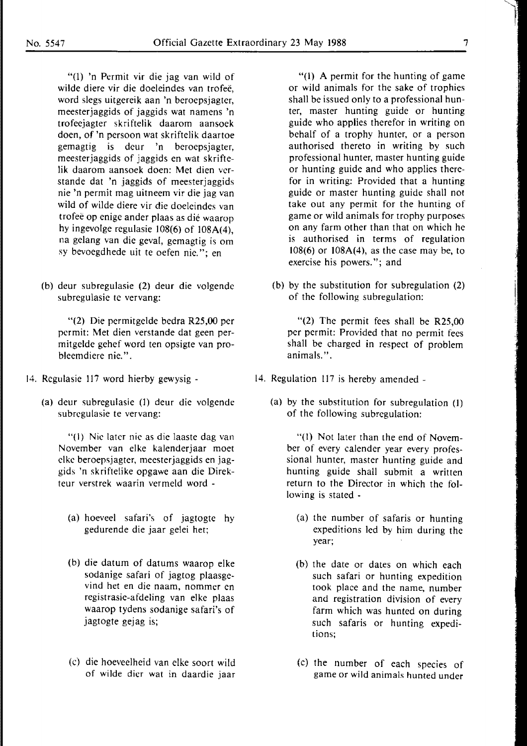"(1) 'n Permit vir die jag van wild of wilde diere vir die doeleindes van trofee, word slegs uitgereik aan 'n beroepsjagter, meesterjaggids of jaggids wat namens 'n trofeejagter skriftelik daarom aansoek doen, of 'n persoon wat skriftelik daartoe gemagtig is deur 'n beroepsjagter, meesterjaggids of jaggids en wat skriftelik daarom aansoek doen: Met dien verstande dat 'n jaggids of meesterjaggids nie 'n permit mag uitneem vir die jag van wild of wilde diere vir die doeleindes van trofee op enige ander plaas as die waarop hy ingevolge regulasie 108(6) of 108A(4), na gelang van die geval, gemagtig is om sy bevoegdhede uit te oefen nie. "; en

(b) deur subregulasie (2) deur die volgende subregulasie te vervang:

"(2) Die permitgelde bedra R25,00 per permit: Met dien verstande dat geen permitgelde gehef word ten opsigte van probleemdiere nie.".

- 14. Regulasie 117 word hierby gewysig
	- (a) deur subregulasie (1) deur die volgende subregulasie te vervang:

"( 1) Nie later nie as die laaste dag van November van elke kalenderjaar moet clke beroepsjagter, meesterjaggids en jaggids 'n skriftelike opgawe aan die Direkteur verstrek waarin vermeld word -

- (a) hoeveel safari's of jagtogte hy gedurende die jaar gelei het;
- (b) die datum of datums waarop elke sodanige safari of jagtog plaasgevind het en die naam, nommer en registrasie-afdeling van elke plaas waarop tydens sodanige safari's of jagtogte gejag is;
- (c) die hoeveelheid van elke soort wild of wilde dier wat in daardie jaar

"(l) A permit for the hunting of game or wild animals for the sake of trophies shall be issued only to a professional hunter, master hunting guide or hunting guide who applies therefor in writing on behalf of a trophy hunter, or a person authorised thereto in writing by such professional hunter, master hunting guide or hunting guide and who applies therefor in writing: Provided that a hunting guide or master hunting guide shall not take out any permit for the hunting of game or wild animals for trophy purposes on any farm other than that on which he is authorised in terms of regulation 108(6) or 108A(4), as the case may be, to exercise his powers."; and

(b) by the substitution for subregulation (2) of the following subregulation:

"(2) The permit fees shall be R25,00 per permit: Provided that no permit fees shall be charged in respect of problem animals.".

- 14. Regulation 117 is hereby amended
	- (a) by the substitution for subregulation (l) of the following subregulation:

"(l) Not later than the end of November of every calender year every professional hunter, master hunting guide and hunting guide shall submit a written return to the Director in which the following is stated -

- (a) the number of safaris or hunting expeditions led by him during the year;
- (b) the date or dates on which each such safari or hunting expedition took place and the name, number and registration division of every farm which was hunted on during such safaris or hunting expeditions;
- (c) the number of each species of game or wild animals hunted under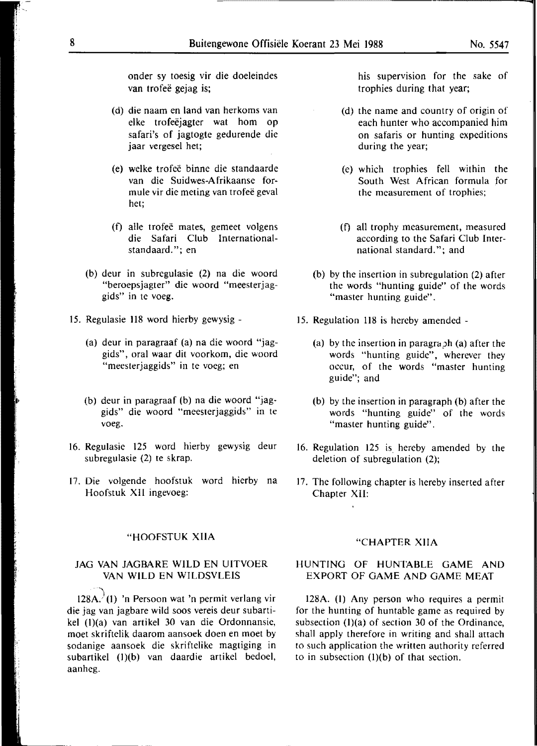onder sy toesig vir die doeleindes van trofeë gejag is;

- (d) die naam en land van herkoms van elke trofeëjagter wat hom op safari's of jagtogte gedurende die jaar vergesel het;
- (e) welke trofee binne die standaarde van die Suidwes-A frikaanse formule vir die meting van trofee geval het;
- (f) alle trofee mates, gemeet volgens die Safari Club lnternationalstandaard."; en
- (b) deur in subregulasie (2) na die woord "beroepsjagter" die woord "meesterjaggids" in te voeg.
- 15. Regulasie 118 word hierby gewysig
	- (a) deur in paragraaf (a) na die woord "jaggids", oral waar dit voorkom, die woord "meesterjaggids" in te voeg; en
	- (b) deur in paragraaf (b) na die woord "jaggids" die woord "meesterjaggids" in te voeg.
- 16. Regulasie 125 word hierby gewysig deur subregulasie (2) te skrap.
- 17. Die volgende hoofstuk word hierby na Hoofstuk XII ingevoeg:

#### "HOOFSTUK XIIA

#### JAG VAN JAGBARE WILD EN UITVOER VAN WILD EN WILDSVLEIS

 $128A'$ (1) 'n Persoon wat 'n permit verlang vir die jag van jagbare wild soos vereis deur subartikel (l)(a) van artikel 30 van die Ordonnansie, moet skriftelik daarom aansoek doen en moet by sodanige aansoek die skriftelike magtiging in subartikel (1)(b) van daardie artikel bedoel, aanheg.

his supervision for the sake of trophies during that year;

- (d) the name and country of origin of each hunter who accompanied him on safaris or hunting expeditions during the year;
- (e) which trophies fell within the South West African formula for the measurement of trophies;
- (f) all trophy measurement, measured according to the Safari Club International standard."; and
- (b) by the insertion in subregulation (2) after the words "hunting guide" of the words "master hunting guide".
- 15. Regulation 118 is hereby amended
	- (a) by the insertion in paragraph (a) after the words "hunting guide", wherever they occur, of the words "master hunting guide"; and
	- (b) by the insertion in paragraph (b) after the words "hunting guide" of the words "master hunting guide".
- 16. Regulation 125 is hereby amended by the deletion of subregulation (2};
- 17. The following chapter is hereby inserted after Chapter XII:

#### "CHAPTER XIIA

#### HUNTING OF HUNTABLE GAME AND EXPORT OF GAME AND GAME MEAT

128A. (l) Any person who requires a permit for the hunting of huntable game as required by subsection  $(1)(a)$  of section 30 of the Ordinance, shall apply therefore in writing and shall attach to such application the written authority referred to in subsection  $(l)(b)$  of that section.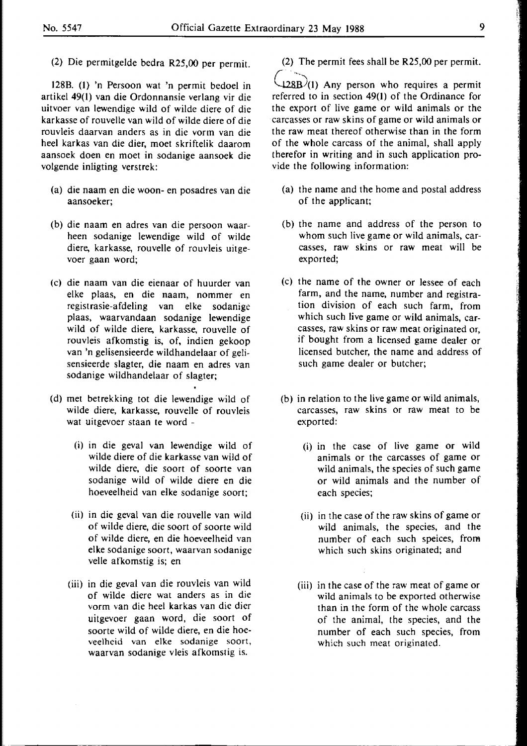(2) Die permitgelde bedra R25,00 per permit.

128B. (1) 'n Persoon wat 'n permit bedoel in artikel 49(1) van die Ordonnansie verlang vir die uitvoer van lewendige wild of wilde diere of die karkasse of rouvelle van wild of wilde diere of die rouvleis daarvan anders as in die vorm van die heel karkas van die dier, moet skriftelik daarom aansoek doen en moet in sodanige aansoek die volgende inligting verstrek:

- (a) die naam en die woon- en posadres van die aansoeker;
- (b) die naam en adres van die persoon waarheen sodanige lewendige wild of wilde diere, karkasse, rouvelle of rouvleis uitgevoer gaan word;
- (c) die naam van die eienaar of huurder van elke plaas, en die naam, nommer en registrasie-afdeling van elke sodanige plaas, waarvandaan sodanige lewendige wild of wilde diere, karkasse, rouvelle of rouvleis afkomstig is, of, indien gekoop van 'n gelisensieerde wildhandelaar of gelisensieerde slagter, die naam en adres van sodanige wildhandelaar of slagter;
- (d) met betrekking tot die lewendige wild of wilde diere, karkasse, rouvelle of rouvleis wat uitgevoer staan te word -
	- (i) in die geval van lewendige wild of wilde diere of die **karkasse** van wild of wilde diere, die soort of soorte van sodanige wild of wilde diere en die hoeveelheid van elke sodanige soort;
	- (ii) in die geval van die rouvelle van wild of wilde diere, die soort of soorte wild of wilde diere, en die hoeveelheid van elke sodanige soort, waarvan sodanige velle afkomstig is; en
	- (iii) in die geval van die rouvleis van wild of wilde diere wat anders as in die vorm van die heel **karkas** van die dier uitgevoer gaan word, die soort of soorte wild of wilde diere, en die hoeveelheid van elke sodanige soort, waarvan sodanige vleis afkomstig is.

(2) The permit fees shall be **R25,00** per permit.

 $+28B/(1)$  Any person who requires a permit referred to in section 49(1) of the Ordinance for the export of live game or wild animals or the carcasses or raw skins of game or wild animals or the raw meat thereof otherwise than in the form of the whole carcass of the animal, shall apply therefor in writing and in such application provide the following information:

- (a) the name and the home and postal address of the applicant;
- (b) the name and address of the person to whom such live game or wild animals, carcasses, raw **skins** or raw meat will be exported;
- (c) the name of the owner or lessee of each farm, and the name, number and registration division of each such farm, from which such live game or wild animals, carcasses, raw skins or raw meat originated or, if bought from a licensed game dealer or licensed butcher, the name and address of such game dealer or butcher;
- (b) in relation to the live game or wild animals, carcasses, raw skins or raw meat to be exported:
	- (i) in the case of live game or wild animals or the carcasses of game or wild animals, the species of such game or wild animals and the number of each species;
	- (ii) in the case of the raw **skins** of game or wild animals, the species, and the number of each such speices, from which such skins originated; and
	- (iii) in the case of the raw meat of game or wild animals to be exported otherwise than in the form of the whole carcass of the animal, the species, and the number of each such species, from which such meat originated.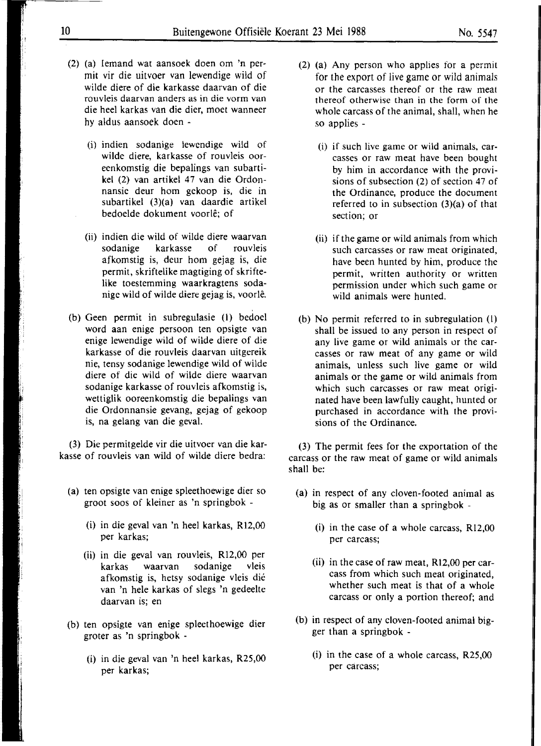- (2) (a) Iemand wat aansoek doen om 'n permit vir die uitvoer van lewendige wild of wilde diere of die karkasse daarvan of die rouvleis daarvan anders as in die vorm van die heel karkas van die dier, moet wanneer hy aldus aansoek doen -
	- (i) indien sodanige lewendige wild of wilde diere, karkasse of rouvleis ooreenkomstig die bepalings van subartikel (2) van artikel 47 van die Ordonnansie deur horn gekoop is, die in subartikel (3)(a) van daardie artikel bedoelde dokument voorle; of
	- (ii) indien die wild of wilde diere waarvan sodanige karkasse of rouvleis afkomstig is, deur horn gejag is, die permit, skriftelike magtiging of skrifte**like** toestemming waarkragtens sodanige wild of wilde diere gejag is, voorle.
- (b) Geen permit in subregulasie (l) bedoel word aan enige persoon ten opsigte van enige lewendige wild of wilde diere of die karkasse of die rouvleis daarvan uitgereik nie, tensy sodanige lewendige wild of wilde diere of die wild of wilde diere waarvan sodanige karkasse of rouvleis afkomstig is, wettiglik ooreenkomstig die bepalings van die Ordonnansie gevang, gejag of gekoop is, na gelang van die geval.

(3) Die permitgelde vir die uitvoer van die karkasse of rouvleis van wild of wilde diere bedra:

- (a) ten opsigte van enige spleethoewige dier so groot soos of kleiner as 'n springbok -
	- (i) in die geval van 'n heel karkas, R12,00 per karkas;
	- (ii) in die geval van rouvleis, Rl2,00 per karkas waarvan sodanige vleis afkomstig is, hetsy sodanige vleis die van 'n hele karkas of slegs 'n gedeelte daarvan is; en
- (b) ten opsigte van enige spleethoewige dier groter as 'n springbok -
	- (i) in die geval van 'n heel karkas, R25,00 per karkas;
- (2) (a) Any person who applies for a permit for the export of live game or wild animals or the carcasses thereof or the raw meat thereof otherwise than in the form of the whole carcass of the animal, shall, when he so applies -
	- (i) if such live game or wild animals, carcasses or raw meat have been bought by him in accordance with the provisions of subsection (2) of section 47 of the Ordinance, produce the document referred to in subsection (3)(a) of that section; or
	- (ii) if the game or wild animals from which such carcasses or raw meat originated, have been hunted by him, produce the permit, written authority or written permission under which such game or wild animals were hunted.
- (b) No permit referred to in subregulation (l) shall be issued to any person in respect of any live game or wild animals ur the carcasses or raw meat of any game or wild animals, unless such live game or wild animals or the game or wild animals from which such carcasses or raw meat originated have been lawfully caught, hunted or purchased in accordance with the provisions of the Ordinance.

(3) The permit fees for the exportation of the carcass or the raw meat of game or wild animals shall be:

- (a) in respect of any cloven-footed animal as big as or smaller than a springbok -
	- (i) in the case of a whole carcass, Rl2,00 per carcass;
	- (ii) in the case of raw meat,  $R12,00$  per carcass from which such meat originated, whether such meat is that of a whole carcass or only a portion thereof; and
- (b) in respect of any cloven-footed animal bigger than a springbok -
	- (i) in the case of a whole carcass, R25,00 per carcass;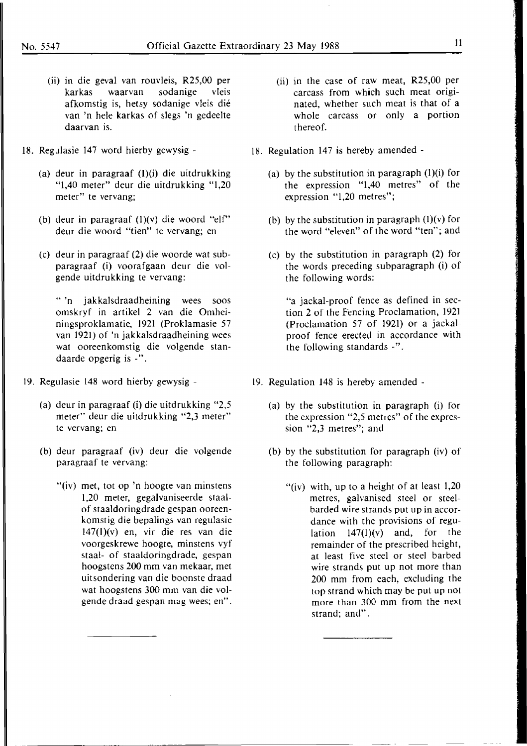- (ii) in die geval van rouvleis, R25,00 per karkas waarvan sodanige vleis afkomstig is, hetsy sodanige vleis die van 'n hele karkas of slegs 'n gedeelte daarvan is.
- 18. Regulasie 147 word hierby gewysig -
	- (a) deur in paragraaf (l)(i) die uitdrukking "l,40 meter" deur die uitdrukking "1,20 meter" te vervang;
	- (b) deur in paragraaf  $(1)(v)$  die woord "elf" deur die woord "tien" te vervang; en
	- (c) deur in paragraaf (2) die woorde wat subparagraaf (i) voorafgaan deur die volgende uitdrukking te vervang:

" 'n jakkalsdraadheining wees soos omskryf in artikel 2 van die Omheiningsproklamatie, 1921 (Proklamasie 57 van 1921) of 'n jakkalsdraadheining wees wat ooreenkomstig die volgende standaarde opgerig is -".

- 19. Regulasie 148 word hierby gewysig
	- (a) deur in paragraaf (i) die uitdrukking "2,5 meter" deur die uitdrukking "2,3 meter" te vervang; en
	- (b) deur paragraaf (iv) deur die volgende paragraaf te vervang:
		- "(iv) met, tot op 'n hoogte van minstens 1,20 meter, gegalvaniseerde staalof staaldoringdrade gespan ooreenkomstig die bepalings van regulasie 147(1)(v) en, vir die res van die voorgeskrewe hoogte, minstens vyf staal- of staaldoringdrade, gespan hoogstens 200 mm van mekaar, met uitsondering van die boonste draad wat hoogstens 300 mm van die volgende draad gespan mag wees; en".
- (ii) in the case of raw meat, R25,00 per carcass from which such meat originated, whether such meat is that of a whole carcass or only a portion thereof.
- 18. Regulation 147 is hereby amended
	- (a) by the substitution in paragraph  $(l)(i)$  for the expression "1,40 metres" of the expression "1,20 metres";
	- (b) by the substitution in paragraph  $(l)(v)$  for the word "eleven" of the word "ten"; and
	- (c) by the substitution in paragraph (2) for the words preceding subparagraph (i) of the following words:

"a jackal-proof fence as defined in section 2 of the Fencing Proclamation, 1921 (Proclamation 57 of **1921)** or a jackalproof fence erected in accordance with the following standards -".

- 19. Regulation 148 is hereby amended
	- (a) by the substitution in paragraph (i) for the expression "2,5 metres" of the expression "2,3 metres"; and
	- (b) by the substitution for paragraph (iv) of the following paragraph:
		- "(iv) with, up to a height of at least  $1,20$ metres, galvanised steel or steelbarded wire strands put up in accordance with the provisions of regulation  $147(1)(v)$  and, for the remainder of the prescribed height, at least five steel or steel barbed wire strands put up not more than 200 mm from each, excluding the top strand which may be put up not more than 300 mm from the next strand; and".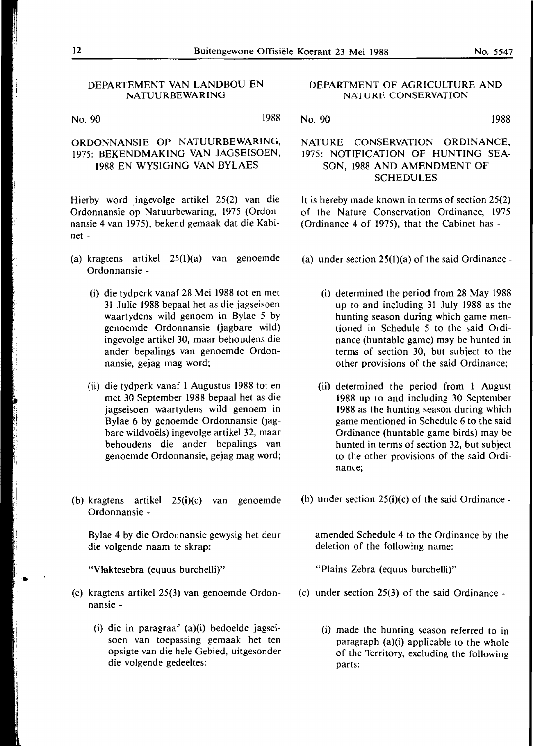#### DEPARTEMENT VAN LANDBOU EN NATUURBEWARING

No. 90 1988

#### ORDONNANSIE OP NATUURBEWARING, 1975: BEKENDMAKING VAN JAGSEISOEN, 1988 EN WYSIGING VAN BYLAES

Hierby word ingevolge artikel 25(2) van die Ordonnansie op Natuurbewaring, 1975 (Ordonnansie 4 van 1975), bekend gemaak dat die Kabinet -

- (a) kragtens artikel 25(1)(a) van genoemde Ordonnansie -
	- (i) die tydperk vanaf 28 Mei 1988 tot en met 31 Julie 1988 bepaal het as die jagseisoen waartydens wild genoem in Bylae 5 by genoemde Ordonnansie (jagbare wild) ingevolge artikel 30, maar behoudens die ander bepalings van genoemde Ordonnansie, gejag mag word;
	- (ii) die tydperk vanaf 1 Augustus 1988 tot en met 30 September 1988 bepaal het as die jagseisoen waartydens wild genoem in Bylae 6 by genoemde Ordonnansie (jagbare wildvoels) ingevolge artikel 32, maar behoudens die ander bepalings van genoemde Ordonnansie, gejag mag word;
- (b) kragtens artikel 25(i)(c) van genoemde Ordonnansie -

Bylae 4 by die Ordonnansie gewysig het deur die volgende naam te skrap:

"Vlaktesebra (equus burchelli)"

- (c) kragtens artikel 25(3) van genoemde Ordonnansie -
	- (i) die in paragraaf (a)(i) bedoelde jagseisoen van toepassing gemaak het ten opsigte van die hele Gebied, uitgesonder die volgende gedeeltes:

#### DEPARTMENT OF AGRICULTURE AND NATURE CONSERVATION

#### NATURE CONSERVATION ORDINANCE, 1975: NOTIFICATION OF HUNTING SEA-SON, 1988 AND AMENDMENT OF SCHEDULES

It is hereby made known in terms of section 25(2) of the Nature Conservation Ordinance, 1975 (Ordinance 4 of 1975), that the Cabinet has -

- (a) under section  $25(1)(a)$  of the said Ordinance -
	- (i) determined the period from 28 May 1988 up to and including 31 July 1988 as the hunting season during which game mentioned in Schedule 5 to the said Ordinance (huntable game) may be hunted in terms of section 30, but subject to the other provisions of the said Ordinance;
	- (ii) determined the period from 1 August 1988 up to and including 30 September 1988 as the hunting season during which game mentioned in Schedule 6 to the said Ordinance (huntable game birds) may be hunted in terms of section 32, but subject to the other provisions of the said Ordinance;
- (b) under section  $25(i)(c)$  of the said Ordinance -

amended Schedule 4 to the Ordinance by the deletion of the following name:

"Plains Zebra (equus burchelli)"

- (c) under section 25(3) of the said Ordinance
	- (i) made the hunting season referred to in paragraph (a)(i) applicable to the whole of the Territory, excluding the following parts:

No. 90 1988